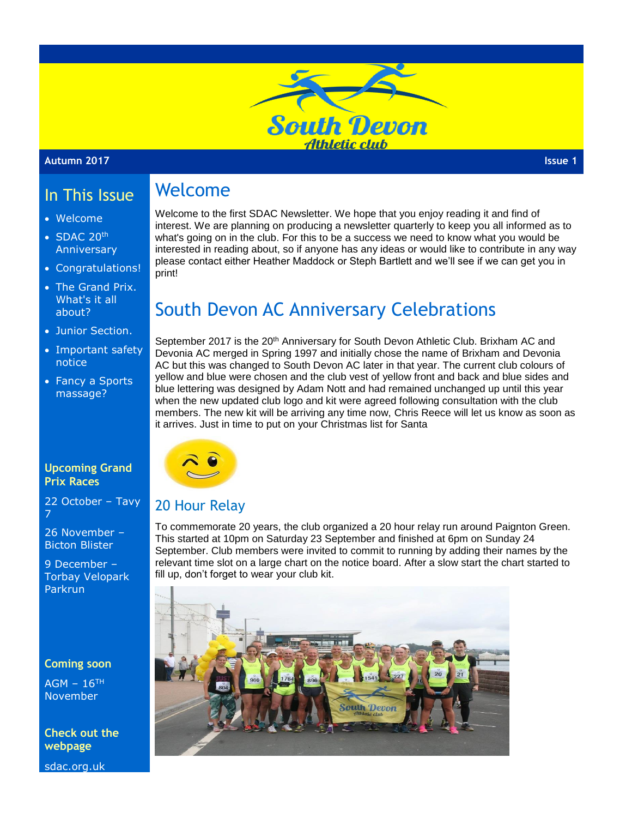

Welcome to the first SDAC Newsletter. We hope that you enjoy reading it and find of interest. We are planning on producing a newsletter quarterly to keep you all informed as to what's going on in the club. For this to be a success we need to know what you would be interested in reading about, so if anyone has any ideas or would like to contribute in any way please contact either Heather Maddock or Steph Bartlett and we'll see if we can get you in

#### **Autumn 2017 Issue 1**

#### In This Issue Welcome

print!

- Welcome
- SDAC 20<sup>th</sup> Anniversary
- Congratulations!
- The Grand Prix. What's it all about?
- Junior Section.
- Important safety notice
- Fancy a Sports massage?

#### **Upcoming Grand Prix Races**

22 October – Tavy 7

26 November – Bicton Blister

9 December – Torbay Velopark Parkrun

#### **Coming soon**

 $AGM - 16$ <sup>TH</sup> November

**Check out the webpage**

sdac.org.uk

# South Devon AC Anniversary Celebrations

September 2017 is the 20<sup>th</sup> Anniversary for South Devon Athletic Club. Brixham AC and Devonia AC merged in Spring 1997 and initially chose the name of Brixham and Devonia AC but this was changed to South Devon AC later in that year. The current club colours of yellow and blue were chosen and the club vest of yellow front and back and blue sides and blue lettering was designed by Adam Nott and had remained unchanged up until this year when the new updated club logo and kit were agreed following consultation with the club members. The new kit will be arriving any time now, Chris Reece will let us know as soon as it arrives. Just in time to put on your Christmas list for Santa



### 20 Hour Relay

To commemorate 20 years, the club organized a 20 hour relay run around Paignton Green. This started at 10pm on Saturday 23 September and finished at 6pm on Sunday 24 September. Club members were invited to commit to running by adding their names by the relevant time slot on a large chart on the notice board. After a slow start the chart started to fill up, don't forget to wear your club kit.

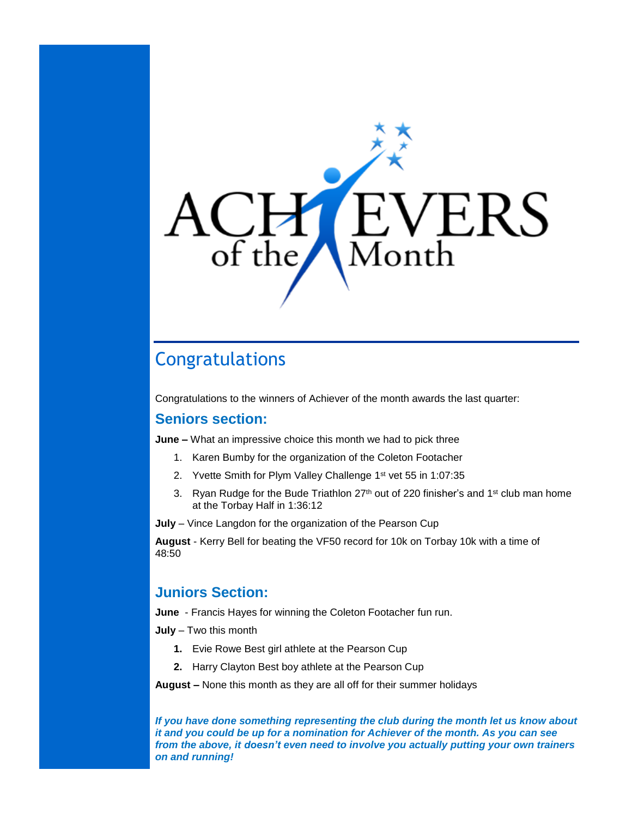

# Congratulations

Congratulations to the winners of Achiever of the month awards the last quarter:

### **Seniors section:**

**June –** What an impressive choice this month we had to pick three

- 1. Karen Bumby for the organization of the Coleton Footacher
- 2. Yvette Smith for Plym Valley Challenge 1st vet 55 in 1:07:35
- 3. Ryan Rudge for the Bude Triathlon  $27<sup>th</sup>$  out of 220 finisher's and 1<sup>st</sup> club man home at the Torbay Half in 1:36:12

**July** – Vince Langdon for the organization of the Pearson Cup

**August** - Kerry Bell for beating the VF50 record for 10k on Torbay 10k with a time of 48:50

## **Juniors Section:**

**June** - Francis Hayes for winning the Coleton Footacher fun run.

**July** – Two this month

- **1.** Evie Rowe Best girl athlete at the Pearson Cup
- **2.** Harry Clayton Best boy athlete at the Pearson Cup

**August –** None this month as they are all off for their summer holidays

*If you have done something representing the club during the month let us know about it and you could be up for a nomination for Achiever of the month. As you can see from the above, it doesn't even need to involve you actually putting your own trainers on and running!*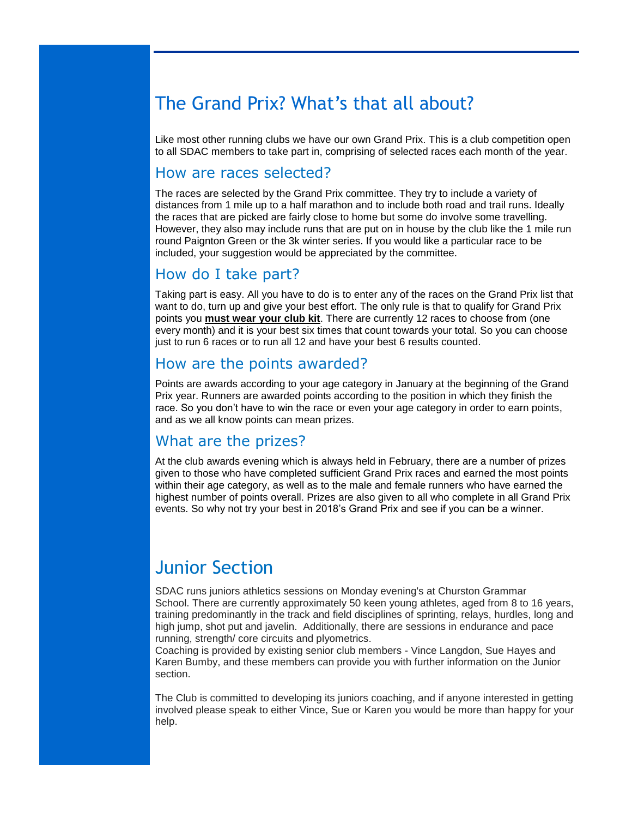# The Grand Prix? What's that all about?

Like most other running clubs we have our own Grand Prix. This is a club competition open to all SDAC members to take part in, comprising of selected races each month of the year.

#### How are races selected?

The races are selected by the Grand Prix committee. They try to include a variety of distances from 1 mile up to a half marathon and to include both road and trail runs. Ideally the races that are picked are fairly close to home but some do involve some travelling. However, they also may include runs that are put on in house by the club like the 1 mile run round Paignton Green or the 3k winter series. If you would like a particular race to be included, your suggestion would be appreciated by the committee.

### How do I take part?

Taking part is easy. All you have to do is to enter any of the races on the Grand Prix list that want to do, turn up and give your best effort. The only rule is that to qualify for Grand Prix points you **must wear your club kit**. There are currently 12 races to choose from (one every month) and it is your best six times that count towards your total. So you can choose just to run 6 races or to run all 12 and have your best 6 results counted.

### How are the points awarded?

Points are awards according to your age category in January at the beginning of the Grand Prix year. Runners are awarded points according to the position in which they finish the race. So you don't have to win the race or even your age category in order to earn points, and as we all know points can mean prizes.

### What are the prizes?

At the club awards evening which is always held in February, there are a number of prizes given to those who have completed sufficient Grand Prix races and earned the most points within their age category, as well as to the male and female runners who have earned the highest number of points overall. Prizes are also given to all who complete in all Grand Prix events. So why not try your best in 2018's Grand Prix and see if you can be a winner.

# Junior Section

SDAC runs juniors athletics sessions on Monday evening's at Churston Grammar School. There are currently approximately 50 keen young athletes, aged from 8 to 16 years, training predominantly in the track and field disciplines of sprinting, relays, hurdles, long and high jump, shot put and javelin. Additionally, there are sessions in endurance and pace running, strength/ core circuits and plyometrics.

Coaching is provided by existing senior club members - Vince Langdon, Sue Hayes and Karen Bumby, and these members can provide you with further information on the Junior section.

The Club is committed to developing its juniors coaching, and if anyone interested in getting involved please speak to either Vince, Sue or Karen you would be more than happy for your help.